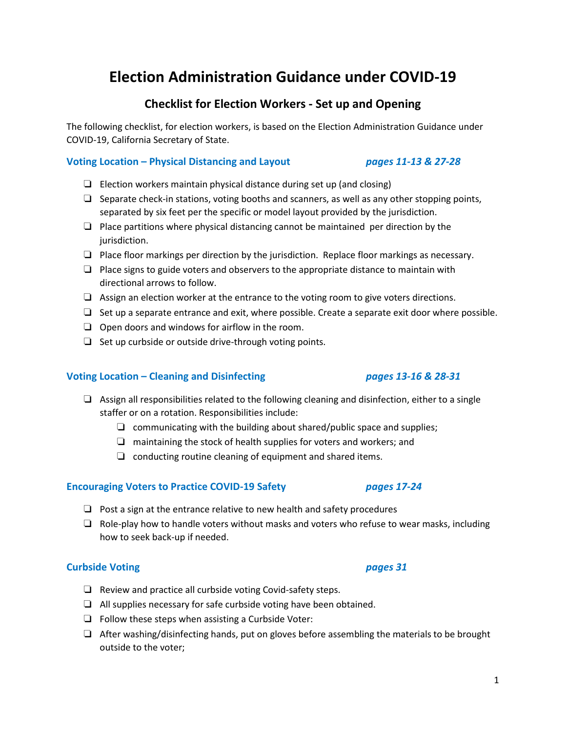# **Election Administration Guidance under COVID-19**

# **Checklist for Election Workers - Set up and Opening**

The following checklist, for election workers, is based on the Election Administration Guidance under COVID-19, California Secretary of State.

#### **Voting Location – Physical Distancing and Layout** *pages 11-13 & 27-28*

- ❏ Election workers maintain physical distance during set up (and closing)
- $\Box$  Separate check-in stations, voting booths and scanners, as well as any other stopping points, separated by six feet per the specific or model layout provided by the jurisdiction.
- ❏ Place partitions where physical distancing cannot be maintained per direction by the jurisdiction.
- ❏ Place floor markings per direction by the jurisdiction. Replace floor markings as necessary.
- ❏ Place signs to guide voters and observers to the appropriate distance to maintain with directional arrows to follow.
- ❏ Assign an election worker at the entrance to the voting room to give voters directions.
- ❏ Set up a separate entrance and exit, where possible. Create a separate exit door where possible.
- ❏ Open doors and windows for airflow in the room.
- ❏ Set up curbside or outside drive-through voting points.

### **Voting Location – Cleaning and Disinfecting** *pages 13-16 & 28-31*

## ❏ Assign all responsibilities related to the following cleaning and disinfection, either to a single staffer or on a rotation. Responsibilities include:

- ❏ communicating with the building about shared/public space and supplies;
- ❏ maintaining the stock of health supplies for voters and workers; and
- ❏ conducting routine cleaning of equipment and shared items.

### **Encouraging Voters to Practice COVID-19 Safety** *pages 17-24*

- ❏ Post a sign at the entrance relative to new health and safety procedures
- $\Box$  Role-play how to handle voters without masks and voters who refuse to wear masks, including how to seek back-up if needed.

### **Curbside Voting** *pages 31*

- ❏ Review and practice all curbside voting Covid-safety steps.
- ❏ All supplies necessary for safe curbside voting have been obtained.
- ❏ Follow these steps when assisting a Curbside Voter:
- ❏ After washing/disinfecting hands, put on gloves before assembling the materials to be brought outside to the voter;